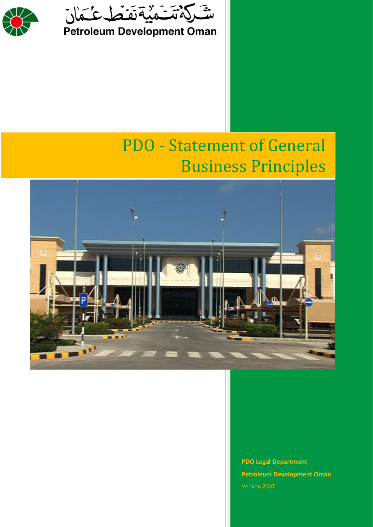



# PDO - Statement of General Business Principles



**PDO Legal Department Petroleum Development Oman** Version 2007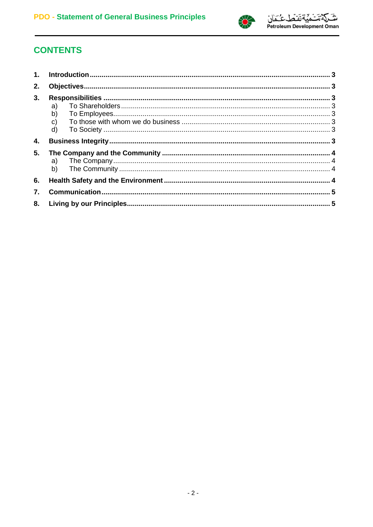

# **CONTENTS**

| 1. |                                            |  |
|----|--------------------------------------------|--|
| 2. |                                            |  |
| 3. | a)<br>b)<br>$\mathsf{C}$ )<br>$\mathsf{d}$ |  |
| 4. |                                            |  |
| 5. | a)<br>b)                                   |  |
| 6. |                                            |  |
| 7. |                                            |  |
| 8. |                                            |  |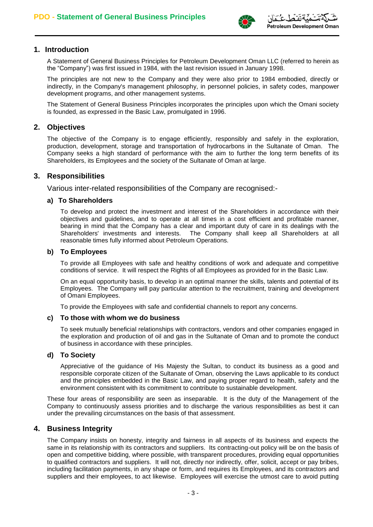

### **1. Introduction**

A Statement of General Business Principles for Petroleum Development Oman LLC (referred to herein as the "Company") was first issued in 1984, with the last revision issued in January 1998.

The principles are not new to the Company and they were also prior to 1984 embodied, directly or indirectly, in the Company's management philosophy, in personnel policies, in safety codes, manpower development programs, and other management systems.

The Statement of General Business Principles incorporates the principles upon which the Omani society is founded, as expressed in the Basic Law, promulgated in 1996.

### **2. Objectives**

The objective of the Company is to engage efficiently, responsibly and safely in the exploration, production, development, storage and transportation of hydrocarbons in the Sultanate of Oman. The Company seeks a high standard of performance with the aim to further the long term benefits of its Shareholders, its Employees and the society of the Sultanate of Oman at large.

#### **3. Responsibilities**

Various inter-related responsibilities of the Company are recognised:-

#### **a) To Shareholders**

To develop and protect the investment and interest of the Shareholders in accordance with their objectives and guidelines, and to operate at all times in a cost efficient and profitable manner, bearing in mind that the Company has a clear and important duty of care in its dealings with the Shareholders' investments and interests. The Company shall keep all Shareholders at all reasonable times fully informed about Petroleum Operations*.*

#### **b) To Employees**

To provide all Employees with safe and healthy conditions of work and adequate and competitive conditions of service. It will respect the Rights of all Employees as provided for in the Basic Law.

On an equal opportunity basis, to develop in an optimal manner the skills, talents and potential of its Employees. The Company will pay particular attention to the recruitment, training and development of Omani Employees.

To provide the Employees with safe and confidential channels to report any concerns.

#### **c) To those with whom we do business**

To seek mutually beneficial relationships with contractors, vendors and other companies engaged in the exploration and production of oil and gas in the Sultanate of Oman and to promote the conduct of business in accordance with these principles.

#### **d) To Society**

Appreciative of the guidance of His Majesty the Sultan, to conduct its business as a good and responsible corporate citizen of the Sultanate of Oman, observing the Laws applicable to its conduct and the principles embedded in the Basic Law, and paying proper regard to health, safety and the environment consistent with its commitment to contribute to sustainable development.

These four areas of responsibility are seen as inseparable. It is the duty of the Management of the Company to continuously assess priorities and to discharge the various responsibilities as best it can under the prevailing circumstances on the basis of that assessment.

# **4. Business Integrity**

The Company insists on honesty, integrity and fairness in all aspects of its business and expects the same in its relationship with its contractors and suppliers. Its contracting-out policy will be on the basis of open and competitive bidding, where possible, with transparent procedures, providing equal opportunities to qualified contractors and suppliers. It will not, directly nor indirectly, offer, solicit, accept or pay bribes, including facilitation payments, in any shape or form, and requires its Employees, and its contractors and suppliers and their employees, to act likewise. Employees will exercise the utmost care to avoid putting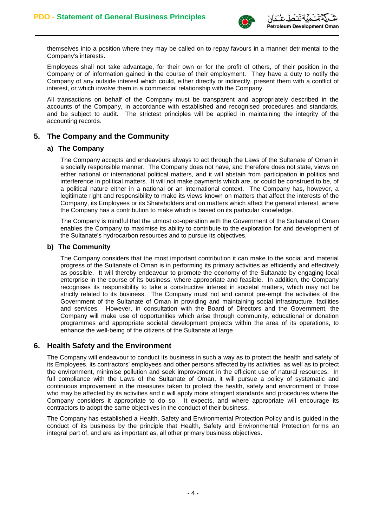

themselves into a position where they may be called on to repay favours in a manner detrimental to the Company's interests.

Employees shall not take advantage, for their own or for the profit of others, of their position in the Company or of information gained in the course of their employment. They have a duty to notify the Company of any outside interest which could, either directly or indirectly, present them with a conflict of interest, or which involve them in a commercial relationship with the Company.

All transactions on behalf of the Company must be transparent and appropriately described in the accounts of the Company, in accordance with established and recognised procedures and standards, and be subject to audit. The strictest principles will be applied in maintaining the integrity of the accounting records.

# **5. The Company and the Community**

#### **a) The Company**

The Company accepts and endeavours always to act through the Laws of the Sultanate of Oman in a socially responsible manner. The Company does not have, and therefore does not state, views on either national or international political matters, and it will abstain from participation in politics and interference in political matters. It will not make payments which are, or could be construed to be, of a political nature either in a national or an international context. The Company has, however, a legitimate right and responsibility to make its views known on matters that affect the interests of the Company, its Employees or its Shareholders and on matters which affect the general interest, where the Company has a contribution to make which is based on its particular knowledge.

The Company is mindful that the utmost co-operation with the Government of the Sultanate of Oman enables the Company to maximise its ability to contribute to the exploration for and development of the Sultanate's hydrocarbon resources and to pursue its objectives.

#### **b) The Community**

The Company considers that the most important contribution it can make to the social and material progress of the Sultanate of Oman is in performing its primary activities as efficiently and effectively as possible. It will thereby endeavour to promote the economy of the Sultanate by engaging local enterprise in the course of its business, where appropriate and feasible. In addition, the Company recognises its responsibility to take a constructive interest in societal matters, which may not be strictly related to its business. The Company must not and cannot pre-empt the activities of the Government of the Sultanate of Oman in providing and maintaining social infrastructure, facilities and services. However, in consultation with the Board of Directors and the Government, the Company will make use of opportunities which arise through community, educational or donation programmes and appropriate societal development projects within the area of its operations, to enhance the well-being of the citizens of the Sultanate at large.

# **6. Health Safety and the Environment**

The Company will endeavour to conduct its business in such a way as to protect the health and safety of its Employees, its contractors' employees and other persons affected by its activities, as well as to protect the environment, minimise pollution and seek improvement in the efficient use of natural resources. In full compliance with the Laws of the Sultanate of Oman, it will pursue a policy of systematic and continuous improvement in the measures taken to protect the health, safety and environment of those who may be affected by its activities and it will apply more stringent standards and procedures where the Company considers it appropriate to do so. It expects, and where appropriate will encourage its contractors to adopt the same objectives in the conduct of their business.

The Company has established a Health, Safety and Environmental Protection Policy and is guided in the conduct of its business by the principle that Health, Safety and Environmental Protection forms an integral part of, and are as important as, all other primary business objectives.